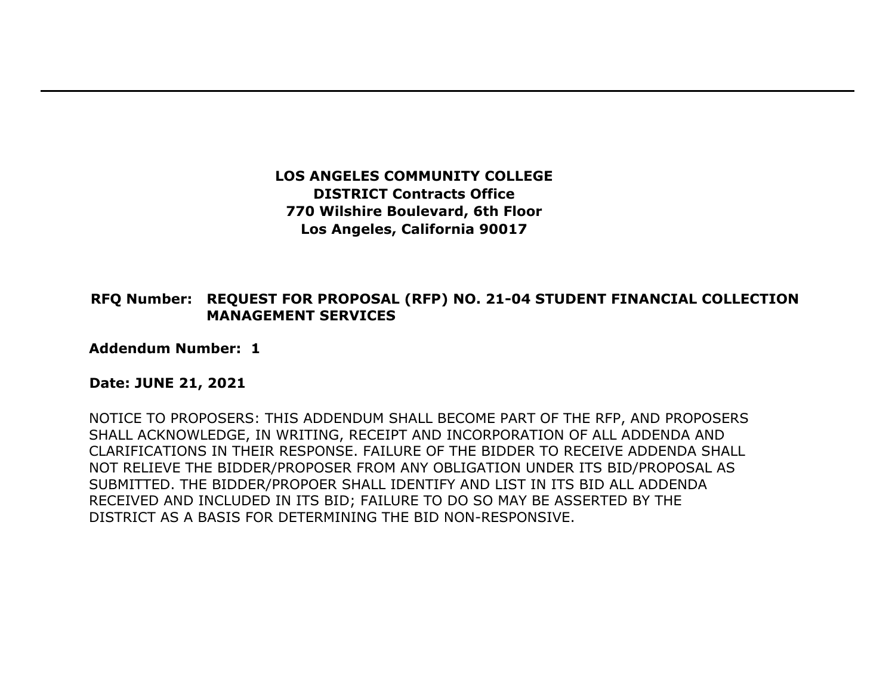**LOS ANGELES COMMUNITY COLLEGE DISTRICT Contracts Office 770 Wilshire Boulevard, 6th Floor Los Angeles, California 90017** 

## **RFQ Number: REQUEST FOR PROPOSAL (RFP) NO. 21-04 STUDENT FINANCIAL COLLECTION MANAGEMENT SERVICES**

**Addendum Number: 1**

## **Date: JUNE 21, 2021**

NOTICE TO PROPOSERS: THIS ADDENDUM SHALL BECOME PART OF THE RFP, AND PROPOSERS SHALL ACKNOWLEDGE, IN WRITING, RECEIPT AND INCORPORATION OF ALL ADDENDA AND CLARIFICATIONS IN THEIR RESPONSE. FAILURE OF THE BIDDER TO RECEIVE ADDENDA SHALL NOT RELIEVE THE BIDDER/PROPOSER FROM ANY OBLIGATION UNDER ITS BID/PROPOSAL AS SUBMITTED. THE BIDDER/PROPOER SHALL IDENTIFY AND LIST IN ITS BID ALL ADDENDA RECEIVED AND INCLUDED IN ITS BID; FAILURE TO DO SO MAY BE ASSERTED BY THE DISTRICT AS A BASIS FOR DETERMINING THE BID NON-RESPONSIVE.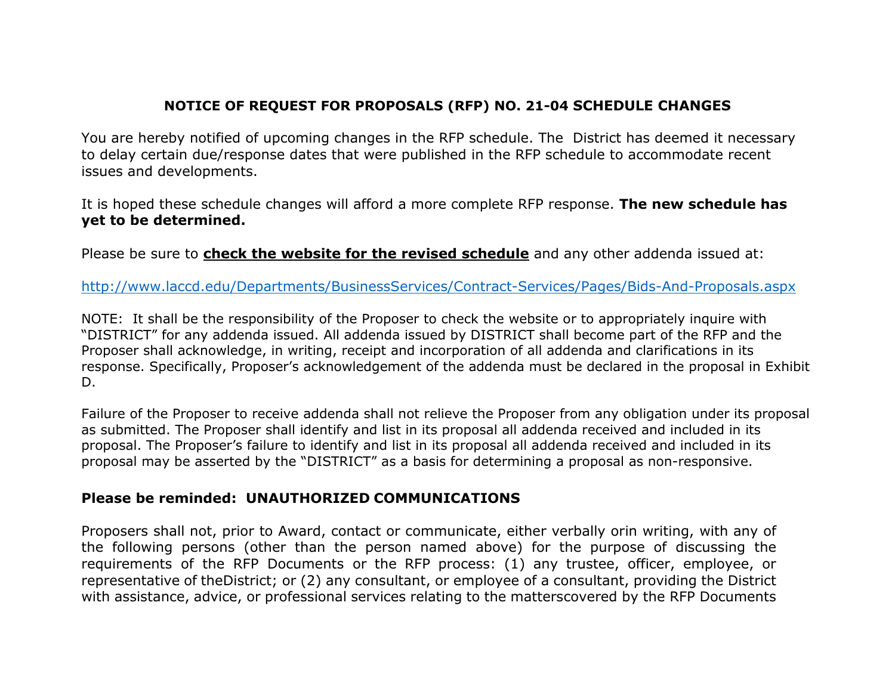## **NOTICE OF REQUEST FOR PROPOSALS (RFP) NO. 21-04 SCHEDULE CHANGES**

You are hereby notified of upcoming changes in the RFP schedule. The District has deemed it necessary to delay certain due/response dates that were published in the RFP schedule to accommodate recent issues and developments.

It is hoped these schedule changes will afford a more complete RFP response. **The new schedule has yet to be determined.**

Please be sure to **check the website for the revised schedule** and any other addenda issued at:

<http://www.laccd.edu/Departments/BusinessServices/Contract-Services/Pages/Bids-And-Proposals.aspx>

NOTE: It shall be the responsibility of the Proposer to check the website or to appropriately inquire with "DISTRICT" for any addenda issued. All addenda issued by DISTRICT shall become part of the RFP and the Proposer shall acknowledge, in writing, receipt and incorporation of all addenda and clarifications in its response. Specifically, Proposer's acknowledgement of the addenda must be declared in the proposal in Exhibit D.

Failure of the Proposer to receive addenda shall not relieve the Proposer from any obligation under its proposal as submitted. The Proposer shall identify and list in its proposal all addenda received and included in its proposal. The Proposer's failure to identify and list in its proposal all addenda received and included in its proposal may be asserted by the "DISTRICT" as a basis for determining a proposal as non-responsive.

## **Please be reminded: UNAUTHORIZED COMMUNICATIONS**

Proposers shall not, prior to Award, contact or communicate, either verbally orin writing, with any of the following persons (other than the person named above) for the purpose of discussing the requirements of the RFP Documents or the RFP process: (1) any trustee, officer, employee, or representative of theDistrict; or (2) any consultant, or employee of a consultant, providing the District with assistance, advice, or professional services relating to the matterscovered by the RFP Documents